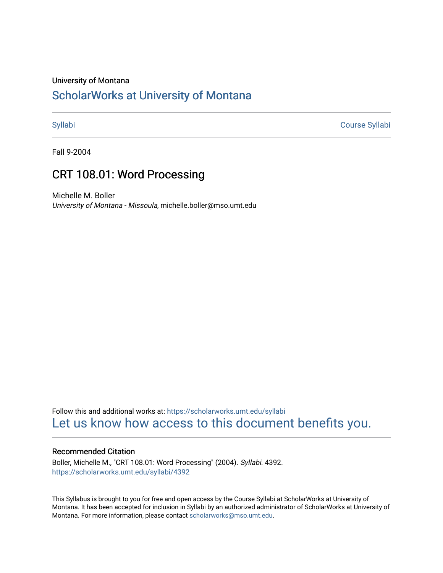#### University of Montana

# [ScholarWorks at University of Montana](https://scholarworks.umt.edu/)

[Syllabi](https://scholarworks.umt.edu/syllabi) [Course Syllabi](https://scholarworks.umt.edu/course_syllabi) 

Fall 9-2004

# CRT 108.01: Word Processing

Michelle M. Boller University of Montana - Missoula, michelle.boller@mso.umt.edu

Follow this and additional works at: [https://scholarworks.umt.edu/syllabi](https://scholarworks.umt.edu/syllabi?utm_source=scholarworks.umt.edu%2Fsyllabi%2F4392&utm_medium=PDF&utm_campaign=PDFCoverPages)  [Let us know how access to this document benefits you.](https://goo.gl/forms/s2rGfXOLzz71qgsB2) 

#### Recommended Citation

Boller, Michelle M., "CRT 108.01: Word Processing" (2004). Syllabi. 4392. [https://scholarworks.umt.edu/syllabi/4392](https://scholarworks.umt.edu/syllabi/4392?utm_source=scholarworks.umt.edu%2Fsyllabi%2F4392&utm_medium=PDF&utm_campaign=PDFCoverPages)

This Syllabus is brought to you for free and open access by the Course Syllabi at ScholarWorks at University of Montana. It has been accepted for inclusion in Syllabi by an authorized administrator of ScholarWorks at University of Montana. For more information, please contact [scholarworks@mso.umt.edu.](mailto:scholarworks@mso.umt.edu)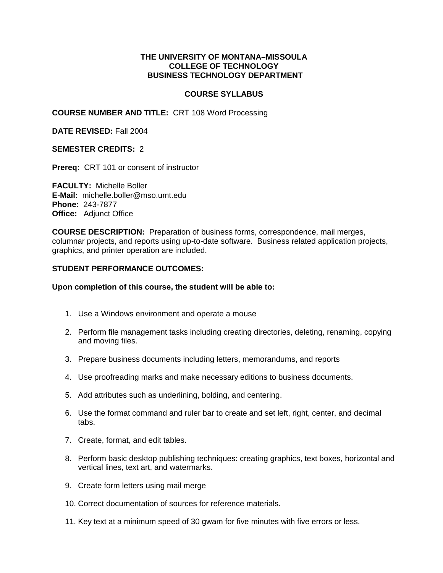## **THE UNIVERSITY OF MONTANA–MISSOULA COLLEGE OF TECHNOLOGY BUSINESS TECHNOLOGY DEPARTMENT**

## **COURSE SYLLABUS**

**COURSE NUMBER AND TITLE:** CRT 108 Word Processing

**DATE REVISED:** Fall 2004

#### **SEMESTER CREDITS:** 2

**Prereq:** CRT 101 or consent of instructor

**FACULTY:** Michelle Boller **E-Mail:** michelle.boller@mso.umt.edu **Phone:** 243-7877 **Office:** Adjunct Office

**COURSE DESCRIPTION:** Preparation of business forms, correspondence, mail merges, columnar projects, and reports using up-to-date software. Business related application projects, graphics, and printer operation are included.

#### **STUDENT PERFORMANCE OUTCOMES:**

**Upon completion of this course, the student will be able to:**

- 1. Use a Windows environment and operate a mouse
- 2. Perform file management tasks including creating directories, deleting, renaming, copying and moving files.
- 3. Prepare business documents including letters, memorandums, and reports
- 4. Use proofreading marks and make necessary editions to business documents.
- 5. Add attributes such as underlining, bolding, and centering.
- 6. Use the format command and ruler bar to create and set left, right, center, and decimal tabs.
- 7. Create, format, and edit tables.
- 8. Perform basic desktop publishing techniques: creating graphics, text boxes, horizontal and vertical lines, text art, and watermarks.
- 9. Create form letters using mail merge
- 10. Correct documentation of sources for reference materials.
- 11. Key text at a minimum speed of 30 gwam for five minutes with five errors or less.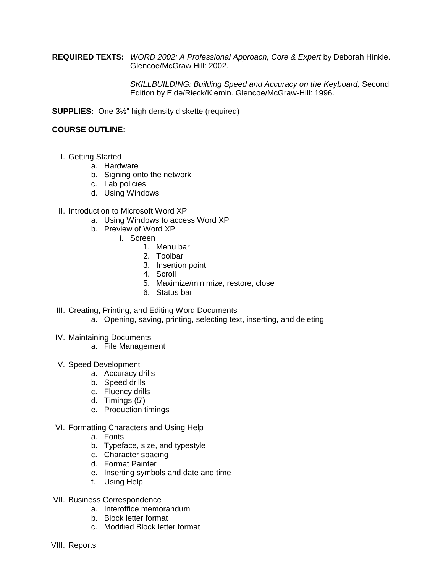**REQUIRED TEXTS:** *WORD 2002: A Professional Approach, Core & Expert* by Deborah Hinkle. Glencoe/McGraw Hill: 2002.

> *SKILLBUILDING: Building Speed and Accuracy on the Keyboard,* Second Edition by Eide/Rieck/Klemin. Glencoe/McGraw-Hill: 1996.

**SUPPLIES:** One 3½" high density diskette (required)

#### **COURSE OUTLINE:**

- I. Getting Started
	- a. Hardware
	- b. Signing onto the network
	- c. Lab policies
	- d. Using Windows
- II. Introduction to Microsoft Word XP
	- a. Using Windows to access Word XP
	- b. Preview of Word XP
		- i. Screen
			- 1. Menu bar
			- 2. Toolbar
			- 3. Insertion point
			- 4. Scroll
			- 5. Maximize/minimize, restore, close
			- 6. Status bar
- III. Creating, Printing, and Editing Word Documents
	- a. Opening, saving, printing, selecting text, inserting, and deleting
- IV. Maintaining Documents
	- a. File Management
- V. Speed Development
	- a. Accuracy drills
	- b. Speed drills
	- c. Fluency drills
	- d. Timings (5')
	- e. Production timings
- VI. Formatting Characters and Using Help
	- a. Fonts
	- b. Typeface, size, and typestyle
	- c. Character spacing
	- d. Format Painter
	- e. Inserting symbols and date and time
	- f. Using Help
- VII. Business Correspondence
	- a. Interoffice memorandum
	- b. Block letter format
	- c. Modified Block letter format
- VIII. Reports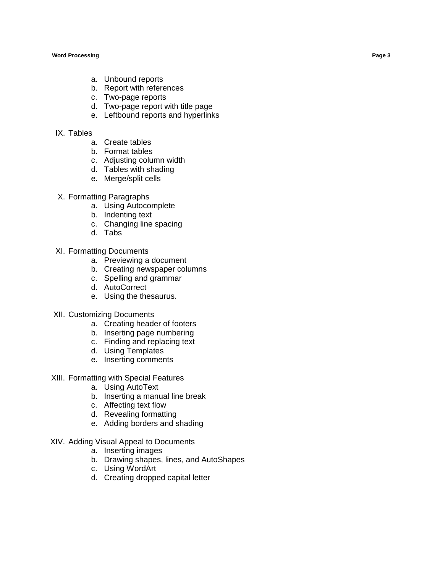#### **Word Processing**

- a. Unbound reports
- b. Report with references
- c. Two -page reports
- d. Two -page report with title page
- e. Leftbound reports and hyperlinks

# IX. Tables

- a. Create tables
- b. Format tables
- c. Adjusting column width
- d. Tables with shading
- e. Merge/split cells

## X. Formatting Paragraphs

- a. Using Autocomplete
- b. Indenting text
- c. Changing line spacing
- d. Tabs
- XI. Formatting Documents
	- a. Previewing a document
	- b. Creating newspaper columns
	- c. Spelling and grammar
	- d. AutoCorrect
	- e. Using the thesaurus.
- XII. Customizing Documents
	- a. Creating header of footers
	- b. Inserting page numbering
	- c. Finding and replacing text
	- d. Using Templates
	- e. Inserting comments
- XIII. Formatting with Special Features
	- a. Using AutoText
	- b. Inserting a manual line break
	- c. Affecting text flow
	- d. Revealing formatting
	- e. Adding borders and shading
- XIV. Adding Visual Appeal to Documents
	- a. Inserting images
	- b. Drawing shapes, lines, and AutoShapes
	- c. Using WordArt
	- d. Creating dropped capital letter